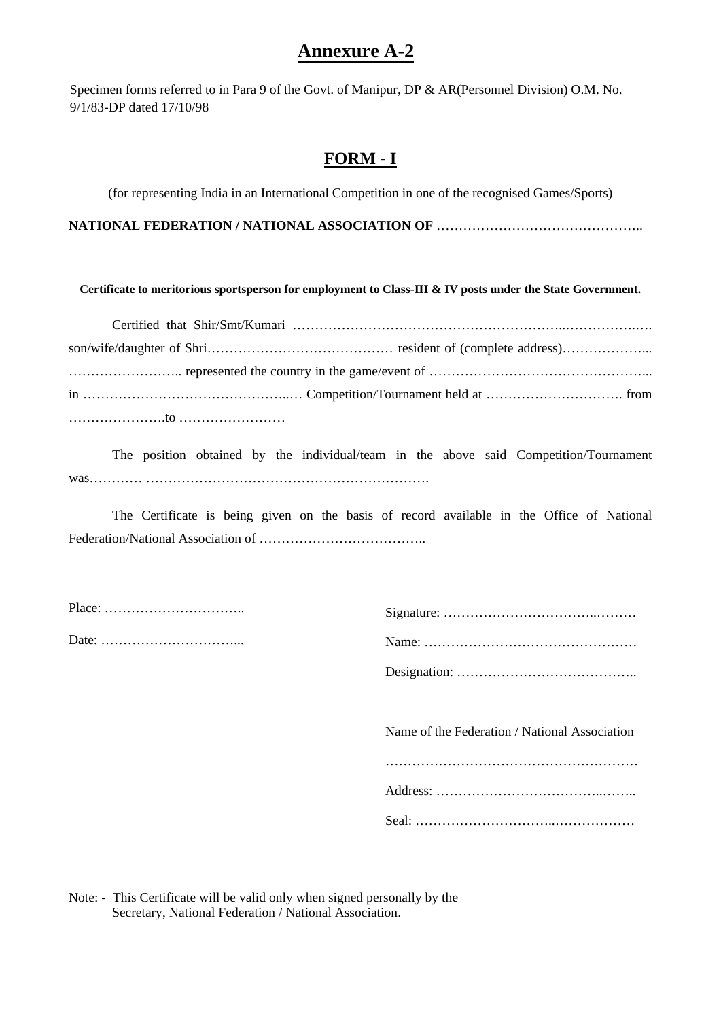# **Annexure A-2**

Specimen forms referred to in Para 9 of the Govt. of Manipur, DP & AR(Personnel Division) O.M. No. 9/1/83-DP dated 17/10/98

## **FORM - I**

(for representing India in an International Competition in one of the recognised Games/Sports)

**NATIONAL FEDERATION / NATIONAL ASSOCIATION OF** ………………………………………..

**Certificate to meritorious sportsperson for employment to Class-III & IV posts under the State Government.**

The position obtained by the individual/team in the above said Competition/Tournament was………… ………………………………………………………………………

The Certificate is being given on the basis of record available in the Office of National Federation/National Association of ………………………………..

| Name of the Federation / National Association |
|-----------------------------------------------|

Note: - This Certificate will be valid only when signed personally by the Secretary, National Federation / National Association.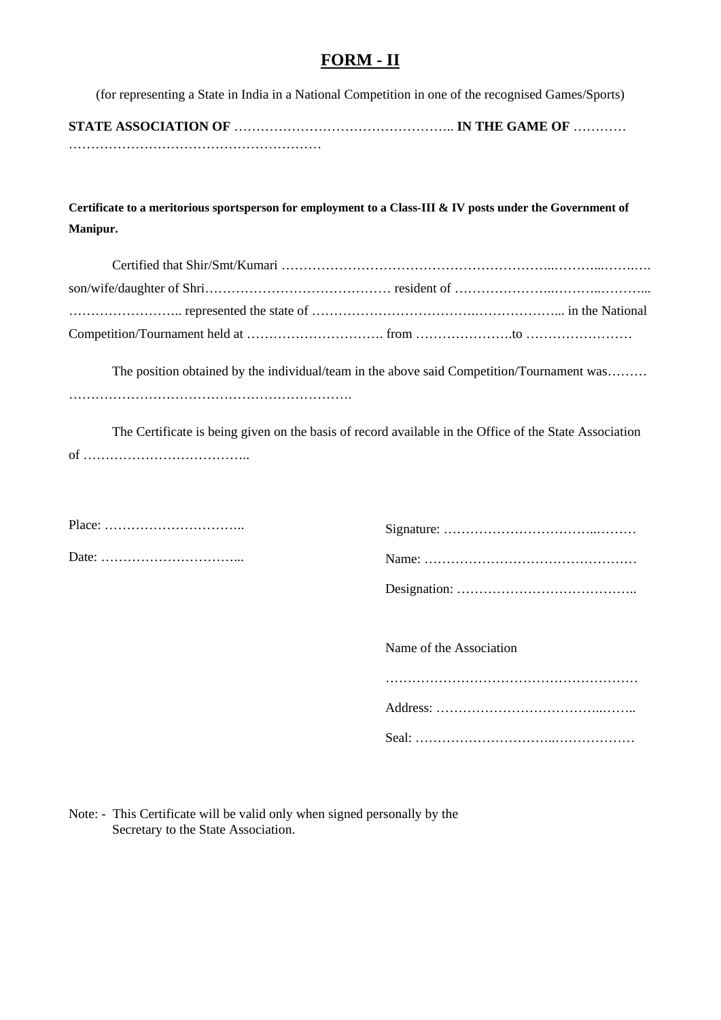### **FORM - II**

(for representing a State in India in a National Competition in one of the recognised Games/Sports)

**STATE ASSOCIATION OF** ………………………………………….. **IN THE GAME OF** ………… …………………………………………………

**Certificate to a meritorious sportsperson for employment to a Class-III & IV posts under the Government of Manipur.** 

The position obtained by the individual/team in the above said Competition/Tournament was......... ……………………………………………………….

The Certificate is being given on the basis of record available in the Office of the State Association of ………………………………..

| $Place: \ldots \ldots \ldots \ldots \ldots \ldots \ldots \ldots \ldots$ |  |  |  |  |  |
|-------------------------------------------------------------------------|--|--|--|--|--|
|                                                                         |  |  |  |  |  |

Name of the Association ………………………………………………… Address: ………………………………..…….. Seal: …………………………..………………

Note: - This Certificate will be valid only when signed personally by the Secretary to the State Association.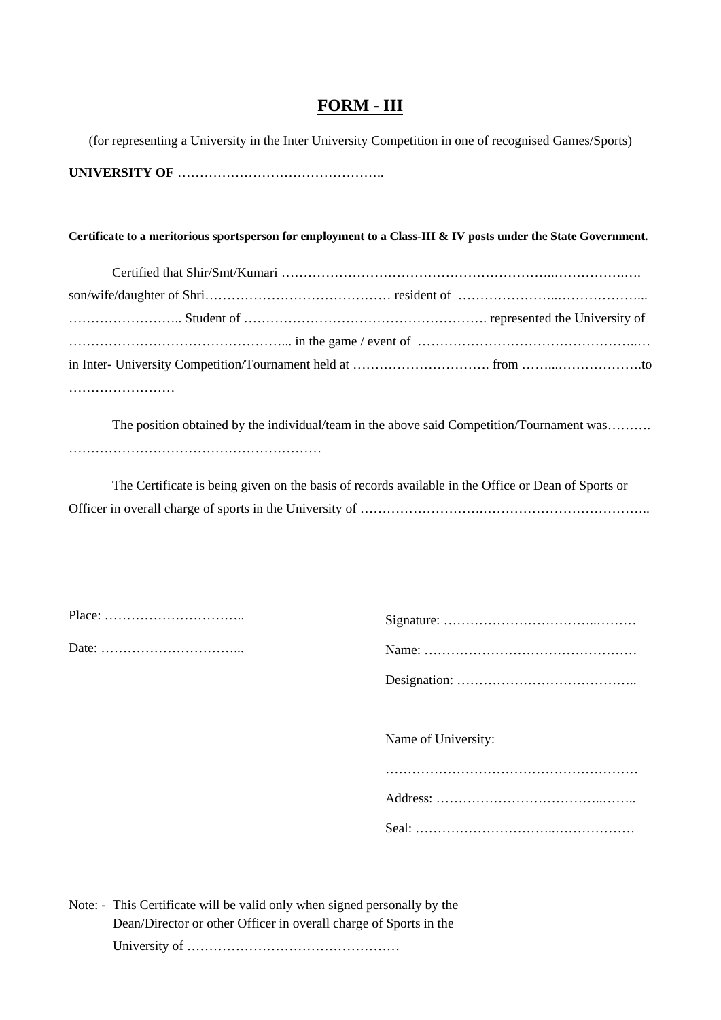### **FORM - III**

(for representing a University in the Inter University Competition in one of recognised Games/Sports) **UNIVERSITY OF** ………………………………………..

#### **Certificate to a meritorious sportsperson for employment to a Class-III & IV posts under the State Government.**

The position obtained by the individual/team in the above said Competition/Tournament was………. …………………………………………………

The Certificate is being given on the basis of records available in the Office or Dean of Sports or Officer in overall charge of sports in the University of ………………………………………………………………

| $\mathrm{Sig}$ |
|----------------|
| Nar            |

| Name of University: |
|---------------------|
|                     |
|                     |
|                     |

Note: - This Certificate will be valid only when signed personally by the Dean/Director or other Officer in overall charge of Sports in the University of …………………………………………